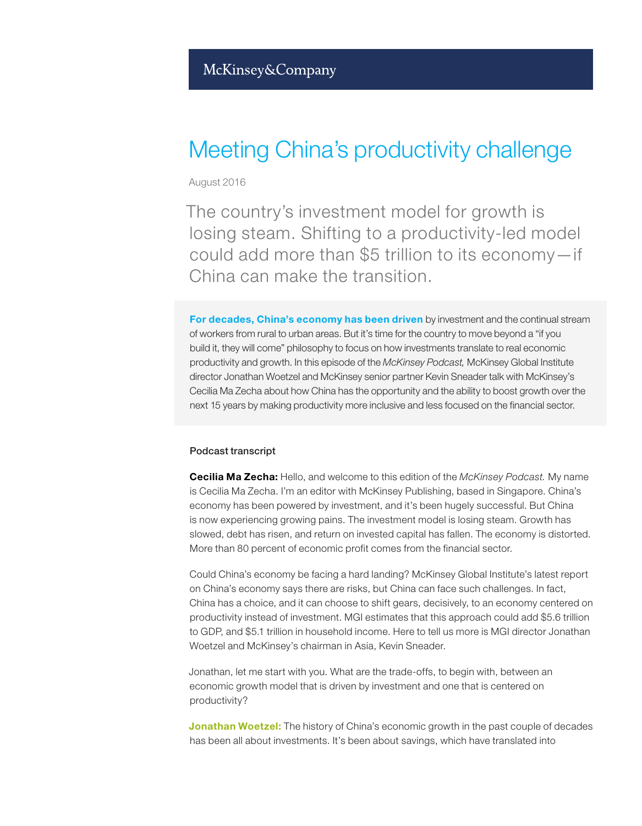## Meeting China's productivity challenge

August 2016

The country's investment model for growth is losing steam. Shifting to a productivity-led model could add more than \$5 trillion to its economy—if China can make the transition.

For decades, China's economy has been driven by investment and the continual stream of workers from rural to urban areas. But it's time for the country to move beyond a "if you build it, they will come" philosophy to focus on how investments translate to real economic productivity and growth. In this episode of the *McKinsey Podcast,* McKinsey Global Institute director Jonathan Woetzel and McKinsey senior partner Kevin Sneader talk with McKinsey's Cecilia Ma Zecha about how China has the opportunity and the ability to boost growth over the next 15 years by making productivity more inclusive and less focused on the financial sector.

## Podcast transcript

Cecilia Ma Zecha: Hello, and welcome to this edition of the *McKinsey Podcast.* My name is Cecilia Ma Zecha. I'm an editor with McKinsey Publishing, based in Singapore. China's economy has been powered by investment, and it's been hugely successful. But China is now experiencing growing pains. The investment model is losing steam. Growth has slowed, debt has risen, and return on invested capital has fallen. The economy is distorted. More than 80 percent of economic profit comes from the financial sector.

Could China's economy be facing a hard landing? McKinsey Global Institute's latest report on China's economy says there are risks, but China can face such challenges. In fact, China has a choice, and it can choose to shift gears, decisively, to an economy centered on productivity instead of investment. MGI estimates that this approach could add \$5.6 trillion to GDP, and \$5.1 trillion in household income. Here to tell us more is MGI director Jonathan Woetzel and McKinsey's chairman in Asia, Kevin Sneader.

Jonathan, let me start with you. What are the trade-offs, to begin with, between an economic growth model that is driven by investment and one that is centered on productivity?

**Jonathan Woetzel:** The history of China's economic growth in the past couple of decades has been all about investments. It's been about savings, which have translated into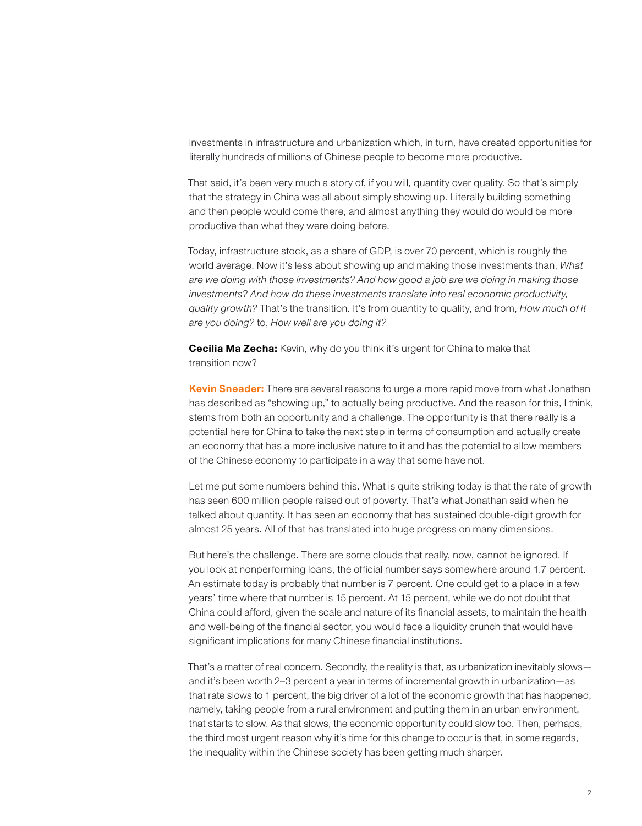investments in infrastructure and urbanization which, in turn, have created opportunities for literally hundreds of millions of Chinese people to become more productive.

That said, it's been very much a story of, if you will, quantity over quality. So that's simply that the strategy in China was all about simply showing up. Literally building something and then people would come there, and almost anything they would do would be more productive than what they were doing before.

Today, infrastructure stock, as a share of GDP, is over 70 percent, which is roughly the world average. Now it's less about showing up and making those investments than, *What are we doing with those investments? And how good a job are we doing in making those investments? And how do these investments translate into real economic productivity, quality growth?* That's the transition. It's from quantity to quality, and from, *How much of it are you doing?* to, *How well are you doing it?*

**Cecilia Ma Zecha:** Kevin, why do you think it's urgent for China to make that transition now?

Kevin Sneader: There are several reasons to urge a more rapid move from what Jonathan has described as "showing up," to actually being productive. And the reason for this, I think, stems from both an opportunity and a challenge. The opportunity is that there really is a potential here for China to take the next step in terms of consumption and actually create an economy that has a more inclusive nature to it and has the potential to allow members of the Chinese economy to participate in a way that some have not.

Let me put some numbers behind this. What is quite striking today is that the rate of growth has seen 600 million people raised out of poverty. That's what Jonathan said when he talked about quantity. It has seen an economy that has sustained double-digit growth for almost 25 years. All of that has translated into huge progress on many dimensions.

But here's the challenge. There are some clouds that really, now, cannot be ignored. If you look at nonperforming loans, the official number says somewhere around 1.7 percent. An estimate today is probably that number is 7 percent. One could get to a place in a few years' time where that number is 15 percent. At 15 percent, while we do not doubt that China could afford, given the scale and nature of its financial assets, to maintain the health and well-being of the financial sector, you would face a liquidity crunch that would have significant implications for many Chinese financial institutions.

That's a matter of real concern. Secondly, the reality is that, as urbanization inevitably slows and it's been worth 2–3 percent a year in terms of incremental growth in urbanization—as that rate slows to 1 percent, the big driver of a lot of the economic growth that has happened, namely, taking people from a rural environment and putting them in an urban environment, that starts to slow. As that slows, the economic opportunity could slow too. Then, perhaps, the third most urgent reason why it's time for this change to occur is that, in some regards, the inequality within the Chinese society has been getting much sharper.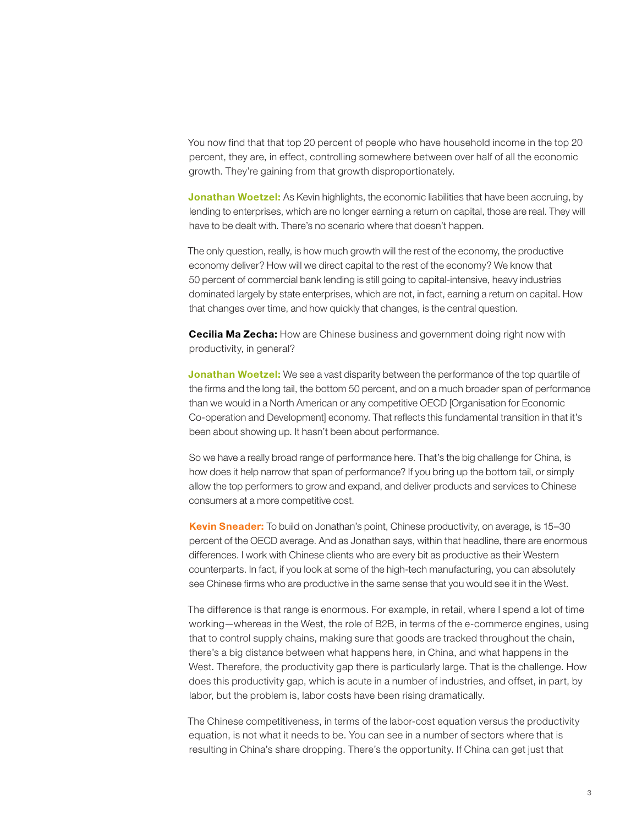You now find that that top 20 percent of people who have household income in the top 20 percent, they are, in effect, controlling somewhere between over half of all the economic growth. They're gaining from that growth disproportionately.

Jonathan Woetzel: As Kevin highlights, the economic liabilities that have been accruing, by lending to enterprises, which are no longer earning a return on capital, those are real. They will have to be dealt with. There's no scenario where that doesn't happen.

The only question, really, is how much growth will the rest of the economy, the productive economy deliver? How will we direct capital to the rest of the economy? We know that 50 percent of commercial bank lending is still going to capital-intensive, heavy industries dominated largely by state enterprises, which are not, in fact, earning a return on capital. How that changes over time, and how quickly that changes, is the central question.

**Cecilia Ma Zecha:** How are Chinese business and government doing right now with productivity, in general?

**Jonathan Woetzel:** We see a vast disparity between the performance of the top quartile of the firms and the long tail, the bottom 50 percent, and on a much broader span of performance than we would in a North American or any competitive OECD [Organisation for Economic Co-operation and Development] economy. That reflects this fundamental transition in that it's been about showing up. It hasn't been about performance.

So we have a really broad range of performance here. That's the big challenge for China, is how does it help narrow that span of performance? If you bring up the bottom tail, or simply allow the top performers to grow and expand, and deliver products and services to Chinese consumers at a more competitive cost.

Kevin Sneader: To build on Jonathan's point, Chinese productivity, on average, is 15–30 percent of the OECD average. And as Jonathan says, within that headline, there are enormous differences. I work with Chinese clients who are every bit as productive as their Western counterparts. In fact, if you look at some of the high-tech manufacturing, you can absolutely see Chinese firms who are productive in the same sense that you would see it in the West.

The difference is that range is enormous. For example, in retail, where I spend a lot of time working—whereas in the West, the role of B2B, in terms of the e-commerce engines, using that to control supply chains, making sure that goods are tracked throughout the chain, there's a big distance between what happens here, in China, and what happens in the West. Therefore, the productivity gap there is particularly large. That is the challenge. How does this productivity gap, which is acute in a number of industries, and offset, in part, by labor, but the problem is, labor costs have been rising dramatically.

The Chinese competitiveness, in terms of the labor-cost equation versus the productivity equation, is not what it needs to be. You can see in a number of sectors where that is resulting in China's share dropping. There's the opportunity. If China can get just that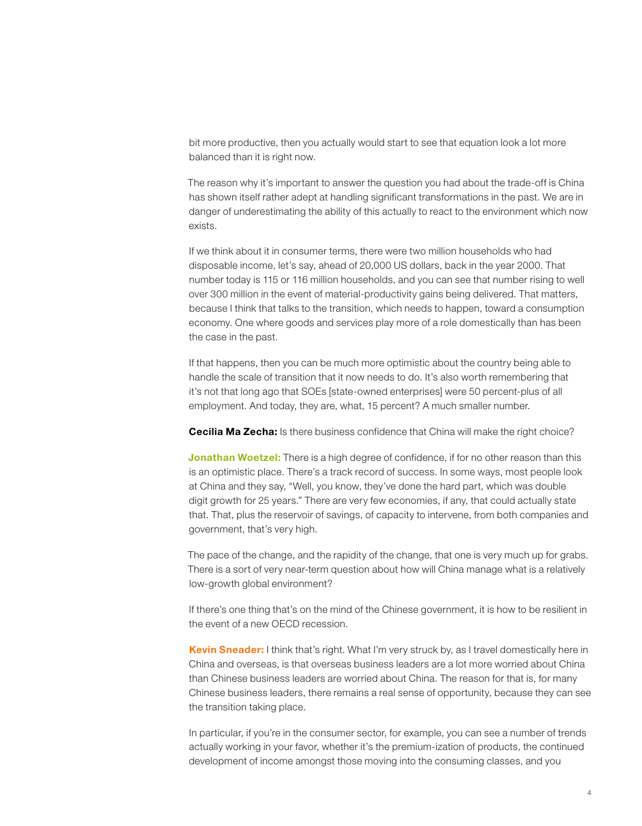bit more productive, then you actually would start to see that equation look a lot more balanced than it is right now.

The reason why it's important to answer the question you had about the trade-off is China has shown itself rather adept at handling significant transformations in the past. We are in danger of underestimating the ability of this actually to react to the environment which now exists.

If we think about it in consumer terms, there were two million households who had disposable income, let's say, ahead of 20,000 US dollars, back in the year 2000. That number today is 115 or 116 million households, and you can see that number rising to well over 300 million in the event of material-productivity gains being delivered. That matters, because I think that talks to the transition, which needs to happen, toward a consumption economy. One where goods and services play more of a role domestically than has been the case in the past.

If that happens, then you can be much more optimistic about the country being able to handle the scale of transition that it now needs to do. It's also worth remembering that it's not that long ago that SOEs [state-owned enterprises] were 50 percent-plus of all employment. And today, they are, what, 15 percent? A much smaller number.

**Cecilia Ma Zecha:** Is there business confidence that China will make the right choice?

Jonathan Woetzel: There is a high degree of confidence, if for no other reason than this is an optimistic place. There's a track record of success. In some ways, most people look at China and they say, "Well, you know, they've done the hard part, which was double digit growth for 25 years." There are very few economies, if any, that could actually state that. That, plus the reservoir of savings, of capacity to intervene, from both companies and government, that's very high.

The pace of the change, and the rapidity of the change, that one is very much up for grabs. There is a sort of very near-term question about how will China manage what is a relatively low-growth global environment?

If there's one thing that's on the mind of the Chinese government, it is how to be resilient in the event of a new OECD recession.

Kevin Sneader: I think that's right. What I'm very struck by, as I travel domestically here in China and overseas, is that overseas business leaders are a lot more worried about China than Chinese business leaders are worried about China. The reason for that is, for many Chinese business leaders, there remains a real sense of opportunity, because they can see the transition taking place.

In particular, if you're in the consumer sector, for example, you can see a number of trends actually working in your favor, whether it's the premium-ization of products, the continued development of income amongst those moving into the consuming classes, and you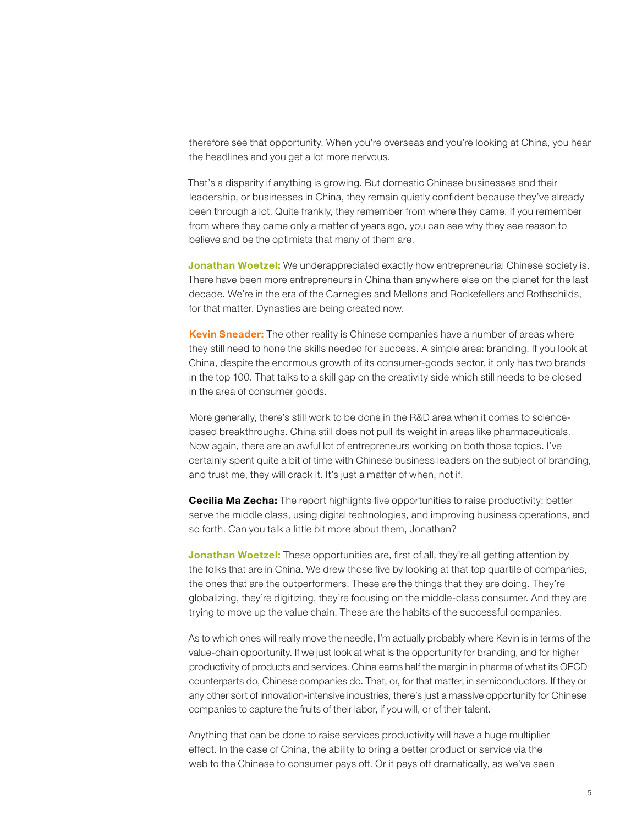therefore see that opportunity. When you're overseas and you're looking at China, you hear the headlines and you get a lot more nervous.

That's a disparity if anything is growing. But domestic Chinese businesses and their leadership, or businesses in China, they remain quietly confident because they've already been through a lot. Quite frankly, they remember from where they came. If you remember from where they came only a matter of years ago, you can see why they see reason to believe and be the optimists that many of them are.

**Jonathan Woetzel:** We underappreciated exactly how entrepreneurial Chinese society is. There have been more entrepreneurs in China than anywhere else on the planet for the last decade. We're in the era of the Carnegies and Mellons and Rockefellers and Rothschilds, for that matter. Dynasties are being created now.

Kevin Sneader: The other reality is Chinese companies have a number of areas where they still need to hone the skills needed for success. A simple area: branding. If you look at China, despite the enormous growth of its consumer-goods sector, it only has two brands in the top 100. That talks to a skill gap on the creativity side which still needs to be closed in the area of consumer goods.

More generally, there's still work to be done in the R&D area when it comes to sciencebased breakthroughs. China still does not pull its weight in areas like pharmaceuticals. Now again, there are an awful lot of entrepreneurs working on both those topics. I've certainly spent quite a bit of time with Chinese business leaders on the subject of branding, and trust me, they will crack it. It's just a matter of when, not if.

**Cecilia Ma Zecha:** The report highlights five opportunities to raise productivity: better serve the middle class, using digital technologies, and improving business operations, and so forth. Can you talk a little bit more about them, Jonathan?

**Jonathan Woetzel:** These opportunities are, first of all, they're all getting attention by the folks that are in China. We drew those five by looking at that top quartile of companies, the ones that are the outperformers. These are the things that they are doing. They're globalizing, they're digitizing, they're focusing on the middle-class consumer. And they are trying to move up the value chain. These are the habits of the successful companies.

As to which ones will really move the needle, I'm actually probably where Kevin is in terms of the value-chain opportunity. If we just look at what is the opportunity for branding, and for higher productivity of products and services. China earns half the margin in pharma of what its OECD counterparts do, Chinese companies do. That, or, for that matter, in semiconductors. If they or any other sort of innovation-intensive industries, there's just a massive opportunity for Chinese companies to capture the fruits of their labor, if you will, or of their talent.

Anything that can be done to raise services productivity will have a huge multiplier effect. In the case of China, the ability to bring a better product or service via the web to the Chinese to consumer pays off. Or it pays off dramatically, as we've seen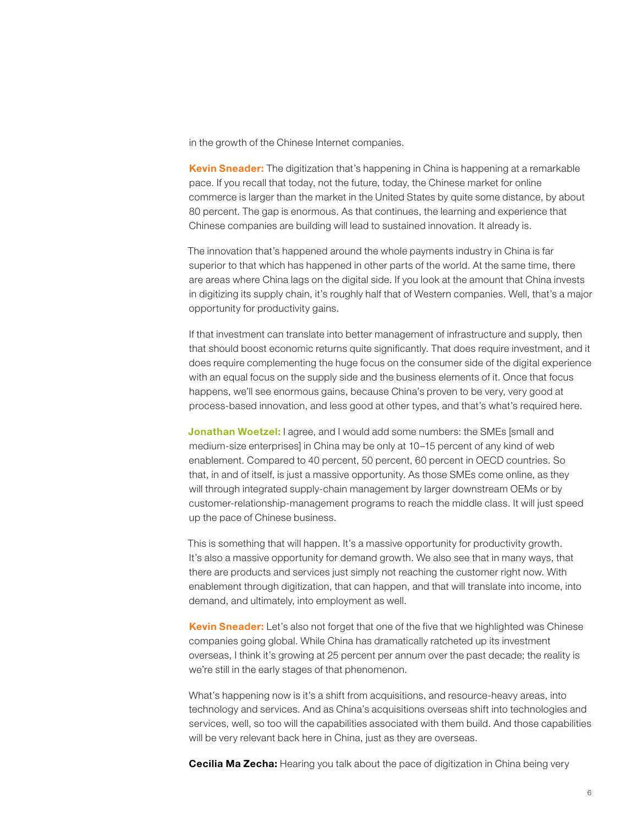in the growth of the Chinese Internet companies.

Kevin Sneader: The digitization that's happening in China is happening at a remarkable pace. If you recall that today, not the future, today, the Chinese market for online commerce is larger than the market in the United States by quite some distance, by about 80 percent. The gap is enormous. As that continues, the learning and experience that Chinese companies are building will lead to sustained innovation. It already is.

The innovation that's happened around the whole payments industry in China is far superior to that which has happened in other parts of the world. At the same time, there are areas where China lags on the digital side. If you look at the amount that China invests in digitizing its supply chain, it's roughly half that of Western companies. Well, that's a major opportunity for productivity gains.

If that investment can translate into better management of infrastructure and supply, then that should boost economic returns quite significantly. That does require investment, and it does require complementing the huge focus on the consumer side of the digital experience with an equal focus on the supply side and the business elements of it. Once that focus happens, we'll see enormous gains, because China's proven to be very, very good at process-based innovation, and less good at other types, and that's what's required here.

Jonathan Woetzel: I agree, and I would add some numbers: the SMEs [small and medium-size enterprises] in China may be only at 10–15 percent of any kind of web enablement. Compared to 40 percent, 50 percent, 60 percent in OECD countries. So that, in and of itself, is just a massive opportunity. As those SMEs come online, as they will through integrated supply-chain management by larger downstream OEMs or by customer-relationship-management programs to reach the middle class. It will just speed up the pace of Chinese business.

This is something that will happen. It's a massive opportunity for productivity growth. It's also a massive opportunity for demand growth. We also see that in many ways, that there are products and services just simply not reaching the customer right now. With enablement through digitization, that can happen, and that will translate into income, into demand, and ultimately, into employment as well.

Kevin Sneader: Let's also not forget that one of the five that we highlighted was Chinese companies going global. While China has dramatically ratcheted up its investment overseas, I think it's growing at 25 percent per annum over the past decade; the reality is we're still in the early stages of that phenomenon.

What's happening now is it's a shift from acquisitions, and resource-heavy areas, into technology and services. And as China's acquisitions overseas shift into technologies and services, well, so too will the capabilities associated with them build. And those capabilities will be very relevant back here in China, just as they are overseas.

**Cecilia Ma Zecha:** Hearing you talk about the pace of digitization in China being very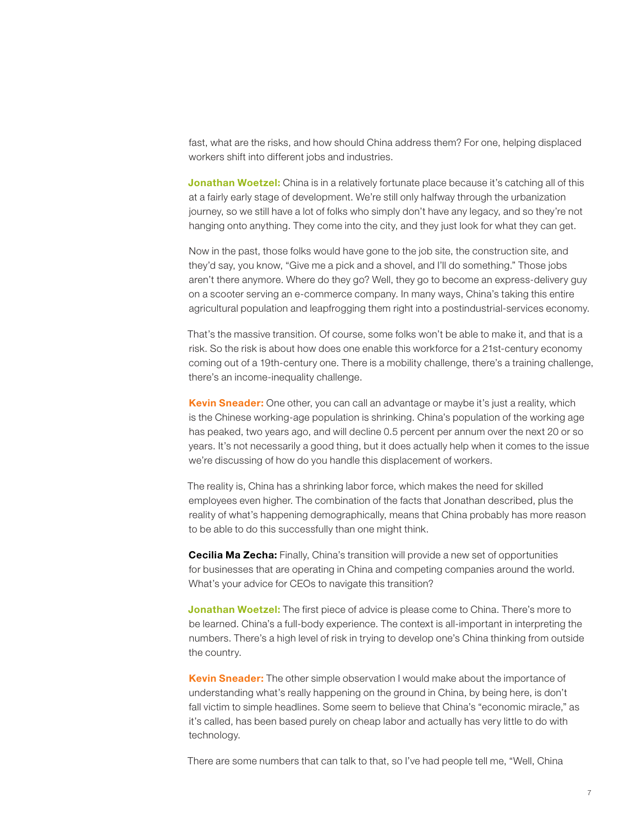fast, what are the risks, and how should China address them? For one, helping displaced workers shift into different jobs and industries.

Jonathan Woetzel: China is in a relatively fortunate place because it's catching all of this at a fairly early stage of development. We're still only halfway through the urbanization journey, so we still have a lot of folks who simply don't have any legacy, and so they're not hanging onto anything. They come into the city, and they just look for what they can get.

Now in the past, those folks would have gone to the job site, the construction site, and they'd say, you know, "Give me a pick and a shovel, and I'll do something." Those jobs aren't there anymore. Where do they go? Well, they go to become an express-delivery guy on a scooter serving an e-commerce company. In many ways, China's taking this entire agricultural population and leapfrogging them right into a postindustrial-services economy.

That's the massive transition. Of course, some folks won't be able to make it, and that is a risk. So the risk is about how does one enable this workforce for a 21st-century economy coming out of a 19th-century one. There is a mobility challenge, there's a training challenge, there's an income-inequality challenge.

Kevin Sneader: One other, you can call an advantage or maybe it's just a reality, which is the Chinese working-age population is shrinking. China's population of the working age has peaked, two years ago, and will decline 0.5 percent per annum over the next 20 or so years. It's not necessarily a good thing, but it does actually help when it comes to the issue we're discussing of how do you handle this displacement of workers.

The reality is, China has a shrinking labor force, which makes the need for skilled employees even higher. The combination of the facts that Jonathan described, plus the reality of what's happening demographically, means that China probably has more reason to be able to do this successfully than one might think.

Cecilia Ma Zecha: Finally, China's transition will provide a new set of opportunities for businesses that are operating in China and competing companies around the world. What's your advice for CEOs to navigate this transition?

Jonathan Woetzel: The first piece of advice is please come to China. There's more to be learned. China's a full-body experience. The context is all-important in interpreting the numbers. There's a high level of risk in trying to develop one's China thinking from outside the country.

**Kevin Sneader:** The other simple observation I would make about the importance of understanding what's really happening on the ground in China, by being here, is don't fall victim to simple headlines. Some seem to believe that China's "economic miracle," as it's called, has been based purely on cheap labor and actually has very little to do with technology.

There are some numbers that can talk to that, so I've had people tell me, "Well, China